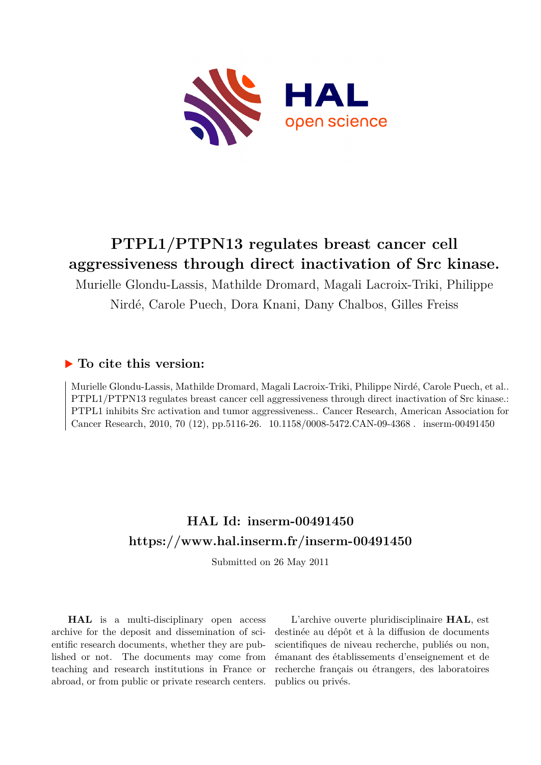

# **PTPL1/PTPN13 regulates breast cancer cell aggressiveness through direct inactivation of Src kinase.**

Murielle Glondu-Lassis, Mathilde Dromard, Magali Lacroix-Triki, Philippe Nirdé, Carole Puech, Dora Knani, Dany Chalbos, Gilles Freiss

## **To cite this version:**

Murielle Glondu-Lassis, Mathilde Dromard, Magali Lacroix-Triki, Philippe Nirdé, Carole Puech, et al.. PTPL1/PTPN13 regulates breast cancer cell aggressiveness through direct inactivation of Src kinase.: PTPL1 inhibits Src activation and tumor aggressiveness.. Cancer Research, American Association for Cancer Research, 2010, 70 (12), pp.5116-26. 10.1158/0008-5472.CAN-09-4368. inserm-00491450

## **HAL Id: inserm-00491450 <https://www.hal.inserm.fr/inserm-00491450>**

Submitted on 26 May 2011

**HAL** is a multi-disciplinary open access archive for the deposit and dissemination of scientific research documents, whether they are published or not. The documents may come from teaching and research institutions in France or abroad, or from public or private research centers.

L'archive ouverte pluridisciplinaire **HAL**, est destinée au dépôt et à la diffusion de documents scientifiques de niveau recherche, publiés ou non, émanant des établissements d'enseignement et de recherche français ou étrangers, des laboratoires publics ou privés.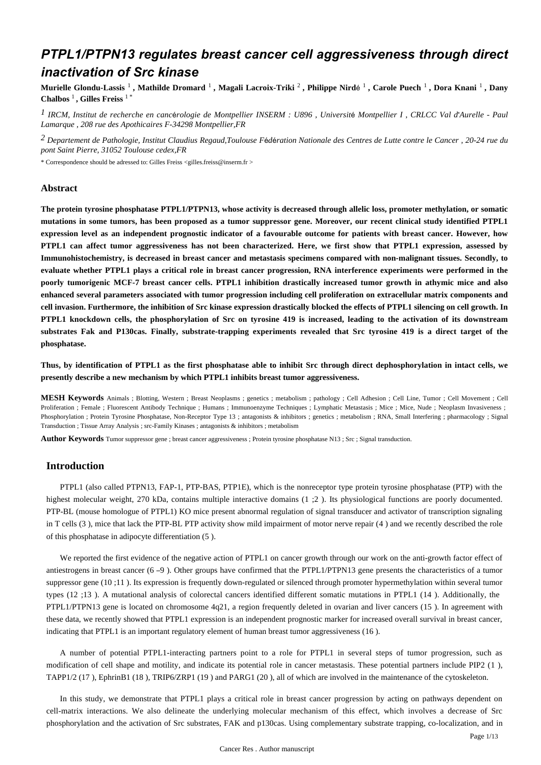## *PTPL1/PTPN13 regulates breast cancer cell aggressiveness through direct inactivation of Src kinase*

**Murielle Glondu-Lassis** <sup>1</sup> **, Mathilde Dromard** <sup>1</sup> **, Magali Lacroix-Triki** <sup>2</sup> **, Philippe Nird**é 1 **, Carole Puech** <sup>1</sup> **, Dora Knani** <sup>1</sup> **, Dany Chalbos** <sup>1</sup> **, Gilles Freiss** 1 \*

*IRCM, Institut de recherche en canc rologie de Montpellier 1* <sup>é</sup> *INSERM : U896 , Universit*é *Montpellier I , CRLCC Val d*'*Aurelle - Paul Lamarque , 208 rue des Apothicaires F-34298 Montpellier,FR*

*Departement de Pathologie, Institut Claudius Regaud,Toulouse 2 F*é*d*é*ration Nationale des Centres de Lutte contre le Cancer , 20-24 rue du pont Saint Pierre, 31052 Toulouse cedex,FR*

\* Correspondence should be adressed to: Gilles Freiss <gilles.freiss@inserm.fr >

#### **Abstract**

**The protein tyrosine phosphatase PTPL1/PTPN13, whose activity is decreased through allelic loss, promoter methylation, or somatic mutations in some tumors, has been proposed as a tumor suppressor gene. Moreover, our recent clinical study identified PTPL1 expression level as an independent prognostic indicator of a favourable outcome for patients with breast cancer. However, how PTPL1 can affect tumor aggressiveness has not been characterized. Here, we first show that PTPL1 expression, assessed by Immunohistochemistry, is decreased in breast cancer and metastasis specimens compared with non-malignant tissues. Secondly, to evaluate whether PTPL1 plays a critical role in breast cancer progression, RNA interference experiments were performed in the poorly tumorigenic MCF-7 breast cancer cells. PTPL1 inhibition drastically increased tumor growth in athymic mice and also enhanced several parameters associated with tumor progression including cell proliferation on extracellular matrix components and cell invasion. Furthermore, the inhibition of Src kinase expression drastically blocked the effects of PTPL1 silencing on cell growth. In PTPL1 knockdown cells, the phosphorylation of Src on tyrosine 419 is increased, leading to the activation of its downstream substrates Fak and P130cas. Finally, substrate-trapping experiments revealed that Src tyrosine 419 is a direct target of the phosphatase.**

**Thus, by identification of PTPL1 as the first phosphatase able to inhibit Src through direct dephosphorylation in intact cells, we presently describe a new mechanism by which PTPL1 inhibits breast tumor aggressiveness.**

**MESH Keywords** Animals ; Blotting, Western ; Breast Neoplasms ; genetics ; metabolism ; pathology ; Cell Adhesion ; Cell Line, Tumor ; Cell Movement ; Cell Proliferation ; Female ; Fluorescent Antibody Technique ; Humans ; Immunoenzyme Techniques ; Lymphatic Metastasis ; Mice ; Mice, Nude ; Neoplasm Invasiveness ; Phosphorylation ; Protein Tyrosine Phosphatase, Non-Receptor Type 13 ; antagonists & inhibitors ; genetics ; metabolism ; RNA, Small Interfering ; pharmacology ; Signal Transduction ; Tissue Array Analysis ; src-Family Kinases ; antagonists & inhibitors ; metabolism

**Author Keywords** Tumor suppressor gene ; breast cancer aggressiveness ; Protein tyrosine phosphatase N13 ; Src ; Signal transduction.

## **Introduction**

PTPL1 (also called PTPN13, FAP-1, PTP-BAS, PTP1E), which is the nonreceptor type protein tyrosine phosphatase (PTP) with the highest molecular weight, 270 kDa, contains multiple interactive domains (1 : 2). Its physiological functions are poorly documented. PTP-BL (mouse homologue of PTPL1) KO mice present abnormal regulation of signal transducer and activator of transcription signaling in T cells (3 ), mice that lack the PTP-BL PTP activity show mild impairment of motor nerve repair (4 ) and we recently described the role of this phosphatase in adipocyte differentiation (5 ).

We reported the first evidence of the negative action of PTPL1 on cancer growth through our work on the anti-growth factor effect of antiestrogens in breast cancer (6 –9 ). Other groups have confirmed that the PTPL1/PTPN13 gene presents the characteristics of a tumor suppressor gene (10 ;11). Its expression is frequently down-regulated or silenced through promoter hypermethylation within several tumor types (12 ;13 ). A mutational analysis of colorectal cancers identified different somatic mutations in PTPL1 (14 ). Additionally, the PTPL1/PTPN13 gene is located on chromosome 4q21, a region frequently deleted in ovarian and liver cancers (15 ). In agreement with these data, we recently showed that PTPL1 expression is an independent prognostic marker for increased overall survival in breast cancer, indicating that PTPL1 is an important regulatory element of human breast tumor aggressiveness (16 ).

A number of potential PTPL1-interacting partners point to a role for PTPL1 in several steps of tumor progression, such as modification of cell shape and motility, and indicate its potential role in cancer metastasis. These potential partners include PIP2 (1 ), TAPP1/2 (17 ), EphrinB1 (18 ), TRIP6/ZRP1 (19 ) and PARG1 (20 ), all of which are involved in the maintenance of the cytoskeleton.

In this study, we demonstrate that PTPL1 plays a critical role in breast cancer progression by acting on pathways dependent on cell-matrix interactions. We also delineate the underlying molecular mechanism of this effect, which involves a decrease of Src phosphorylation and the activation of Src substrates, FAK and p130cas. Using complementary substrate trapping, co-localization, and in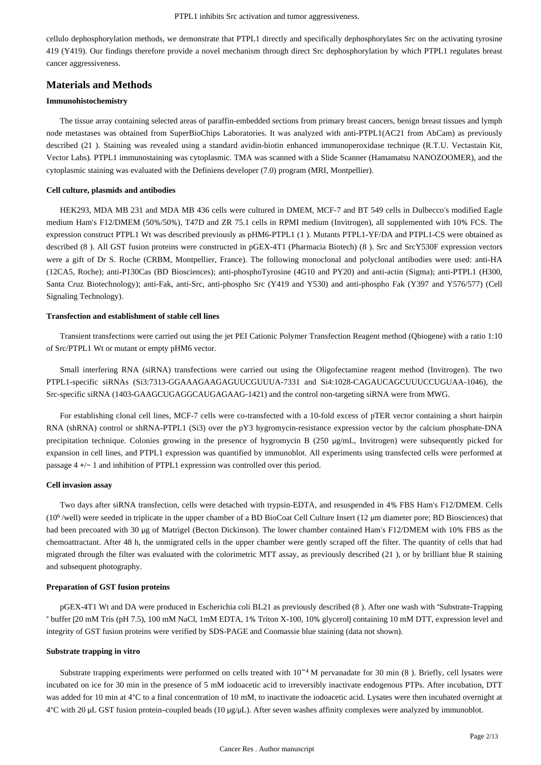cellulo dephosphorylation methods, we demonstrate that PTPL1 directly and specifically dephosphorylates Src on the activating tyrosine 419 (Y419). Our findings therefore provide a novel mechanism through direct Src dephosphorylation by which PTPL1 regulates breast cancer aggressiveness.

## **Materials and Methods**

#### **Immunohistochemistry**

The tissue array containing selected areas of paraffin-embedded sections from primary breast cancers, benign breast tissues and lymph node metastases was obtained from SuperBioChips Laboratories. It was analyzed with anti-PTPL1(AC21 from AbCam) as previously described (21 ). Staining was revealed using a standard avidin-biotin enhanced immunoperoxidase technique (R.T.U. Vectastain Kit, Vector Labs). PTPL1 immunostaining was cytoplasmic. TMA was scanned with a Slide Scanner (Hamamatsu NANOZOOMER), and the cytoplasmic staining was evaluated with the Definiens developer (7.0) program (MRI, Montpellier).

#### **Cell culture, plasmids and antibodies**

HEK293, MDA MB 231 and MDA MB 436 cells were cultured in DMEM, MCF-7 and BT 549 cells in Dulbecco's modified Eagle medium Ham's F12/DMEM (50%/50%), T47D and ZR 75.1 cells in RPMI medium (Invitrogen), all supplemented with 10% FCS. The expression construct PTPL1 Wt was described previously as pHM6-PTPL1 (1 ). Mutants PTPL1-YF/DA and PTPL1-CS were obtained as described (8 ). All GST fusion proteins were constructed in pGEX-4T1 (Pharmacia Biotech) (8 ). Src and SrcY530F expression vectors were a gift of Dr S. Roche (CRBM, Montpellier, France). The following monoclonal and polyclonal antibodies were used: anti-HA (12CA5, Roche); anti-P130Cas (BD Biosciences); anti-phosphoTyrosine (4G10 and PY20) and anti-actin (Sigma); anti-PTPL1 (H300, Santa Cruz Biotechnology); anti-Fak, anti-Src, anti-phospho Src (Y419 and Y530) and anti-phospho Fak (Y397 and Y576/577) (Cell Signaling Technology).

#### **Transfection and establishment of stable cell lines**

Transient transfections were carried out using the jet PEI Cationic Polymer Transfection Reagent method (Qbiogene) with a ratio 1:10 of Src/PTPL1 Wt or mutant or empty pHM6 vector.

Small interfering RNA (siRNA) transfections were carried out using the Oligofectamine reagent method (Invitrogen). The two PTPL1-specific siRNAs (Si3:7313-GGAAAGAAGAGUUCGUUUA-7331 and Si4:1028-CAGAUCAGCUUUCCUGUAA-1046), the Src-specific siRNA (1403-GAAGCUGAGGCAUGAGAAG-1421) and the control non-targeting siRNA were from MWG.

For establishing clonal cell lines, MCF-7 cells were co-transfected with a 10-fold excess of pTER vector containing a short hairpin RNA (shRNA) control or shRNA-PTPL1 (Si3) over the pY3 hygromycin-resistance expression vector by the calcium phosphate-DNA precipitation technique. Colonies growing in the presence of hygromycin B (250 μg/mL, Invitrogen) were subsequently picked for expansion in cell lines, and PTPL1 expression was quantified by immunoblot. All experiments using transfected cells were performed at passage 4 +/− 1 and inhibition of PTPL1 expression was controlled over this period.

#### **Cell invasion assay**

Two days after siRNA transfection, cells were detached with trypsin-EDTA, and resuspended in 4% FBS Ham's F12/DMEM. Cells  $(10<sup>6</sup>/well)$  were seeded in triplicate in the upper chamber of a BD BioCoat Cell Culture Insert  $(12 \mu m)$  diameter pore; BD Biosciences) that had been precoated with 30 μg of Matrigel (Becton Dickinson). The lower chamber contained Ham's F12/DMEM with 10% FBS as the chemoattractant. After 48 h, the unmigrated cells in the upper chamber were gently scraped off the filter. The quantity of cells that had migrated through the filter was evaluated with the colorimetric MTT assay, as previously described (21 ), or by brilliant blue R staining and subsequent photography.

#### **Preparation of GST fusion proteins**

pGEX-4T1 Wt and DA were produced in Escherichia coli BL21 as previously described (8 ). After one wash with "Substrate-Trapping " buffer [20 mM Tris (pH 7.5), 100 mM NaCl, 1mM EDTA, 1% Triton X-100, 10% glycerol] containing 10 mM DTT, expression level and integrity of GST fusion proteins were verified by SDS-PAGE and Coomassie blue staining (data not shown).

#### **Substrate trapping in vitro**

Substrate trapping experiments were performed on cells treated with  $10^{-4}$  M pervanadate for 30 min (8). Briefly, cell lysates were incubated on ice for 30 min in the presence of 5 mM iodoacetic acid to irreversibly inactivate endogenous PTPs. After incubation, DTT was added for 10 min at 4°C to a final concentration of 10 mM, to inactivate the iodoacetic acid. Lysates were then incubated overnight at 4°C with 20 μL GST fusion protein–coupled beads (10 μg/μL). After seven washes affinity complexes were analyzed by immunoblot.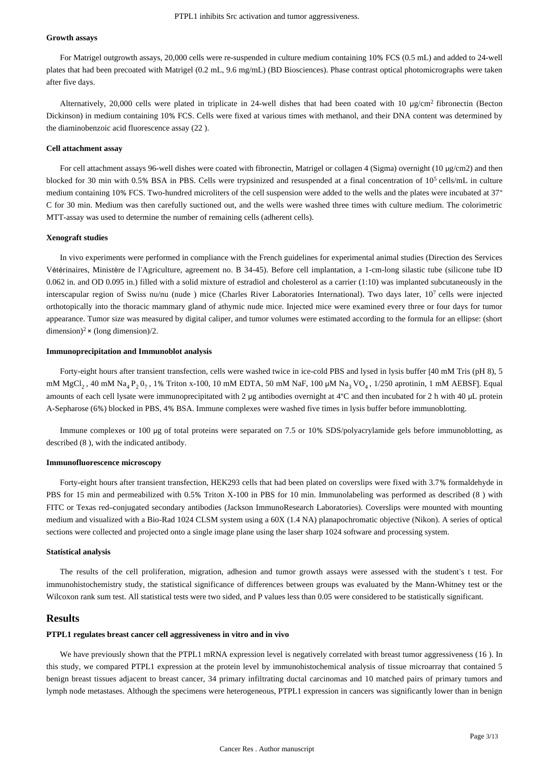#### **Growth assays**

For Matrigel outgrowth assays, 20,000 cells were re-suspended in culture medium containing 10% FCS (0.5 mL) and added to 24-well plates that had been precoated with Matrigel (0.2 mL, 9.6 mg/mL) (BD Biosciences). Phase contrast optical photomicrographs were taken after five days.

Alternatively, 20,000 cells were plated in triplicate in 24-well dishes that had been coated with 10  $\mu$ g/cm<sup>2</sup> fibronectin (Becton Dickinson) in medium containing 10% FCS. Cells were fixed at various times with methanol, and their DNA content was determined by the diaminobenzoic acid fluorescence assay (22 ).

#### **Cell attachment assay**

For cell attachment assays 96-well dishes were coated with fibronectin, Matrigel or collagen 4 (Sigma) overnight (10 μg/cm2) and then blocked for 30 min with 0.5% BSA in PBS. Cells were trypsinized and resuspended at a final concentration of  $10<sup>5</sup>$  cells/mL in culture medium containing 10% FCS. Two-hundred microliters of the cell suspension were added to the wells and the plates were incubated at 37° C for 30 min. Medium was then carefully suctioned out, and the wells were washed three times with culture medium. The colorimetric MTT-assay was used to determine the number of remaining cells (adherent cells).

#### **Xenograft studies**

In vivo experiments were performed in compliance with the French guidelines for experimental animal studies (Direction des Services Vétérinaires, Ministère de l'Agriculture, agreement no. B 34-45). Before cell implantation, a 1-cm-long silastic tube (silicone tube ID 0.062 in. and OD 0.095 in.) filled with a solid mixture of estradiol and cholesterol as a carrier (1:10) was implanted subcutaneously in the interscapular region of Swiss nu/nu (nude ) mice (Charles River Laboratories International). Two days later, 10<sup>7</sup> cells were injected orthotopically into the thoracic mammary gland of athymic nude mice. Injected mice were examined every three or four days for tumor appearance. Tumor size was measured by digital caliper, and tumor volumes were estimated according to the formula for an ellipse: (short dimension)<sup>2</sup> × (long dimension)/2.

#### **Immunoprecipitation and Immunoblot analysis**

Forty-eight hours after transient transfection, cells were washed twice in ice-cold PBS and lysed in lysis buffer [40 mM Tris (pH 8), 5 mM MgCl<sub>2</sub>, 40 mM Na<sub>4</sub> P<sub>2</sub> 0<sub>7</sub>, 1% Triton x-100, 10 mM EDTA, 50 mM NaF, 100  $\mu$ M Na<sub>3</sub> VO<sub>4</sub>, 1/250 aprotinin, 1 mM AEBSF]. Equal amounts of each cell lysate were immunoprecipitated with 2 μg antibodies overnight at 4°C and then incubated for 2 h with 40 μL protein A-Sepharose (6%) blocked in PBS, 4% BSA. Immune complexes were washed five times in lysis buffer before immunoblotting.

Immune complexes or 100 μg of total proteins were separated on 7.5 or 10% SDS/polyacrylamide gels before immunoblotting, as described (8 ), with the indicated antibody.

#### **Immunofluorescence microscopy**

Forty-eight hours after transient transfection, HEK293 cells that had been plated on coverslips were fixed with 3.7% formaldehyde in PBS for 15 min and permeabilized with 0.5% Triton X-100 in PBS for 10 min. Immunolabeling was performed as described (8 ) with FITC or Texas red–conjugated secondary antibodies (Jackson ImmunoResearch Laboratories). Coverslips were mounted with mounting medium and visualized with a Bio-Rad 1024 CLSM system using a 60X (1.4 NA) planapochromatic objective (Nikon). A series of optical sections were collected and projected onto a single image plane using the laser sharp 1024 software and processing system.

#### **Statistical analysis**

The results of the cell proliferation, migration, adhesion and tumor growth assays were assessed with the student's t test. For immunohistochemistry study, the statistical significance of differences between groups was evaluated by the Mann-Whitney test or the Wilcoxon rank sum test. All statistical tests were two sided, and P values less than 0.05 were considered to be statistically significant.

## **Results**

### **PTPL1 regulates breast cancer cell aggressiveness in vitro and in vivo**

We have previously shown that the PTPL1 mRNA expression level is negatively correlated with breast tumor aggressiveness (16). In this study, we compared PTPL1 expression at the protein level by immunohistochemical analysis of tissue microarray that contained 5 benign breast tissues adjacent to breast cancer, 34 primary infiltrating ductal carcinomas and 10 matched pairs of primary tumors and lymph node metastases. Although the specimens were heterogeneous, PTPL1 expression in cancers was significantly lower than in benign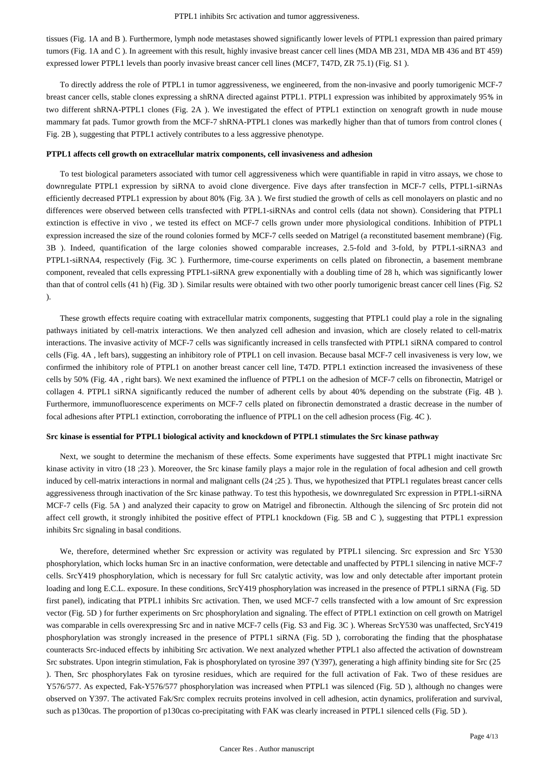tissues (Fig. 1A and B ). Furthermore, lymph node metastases showed significantly lower levels of PTPL1 expression than paired primary tumors (Fig. 1A and C ). In agreement with this result, highly invasive breast cancer cell lines (MDA MB 231, MDA MB 436 and BT 459) expressed lower PTPL1 levels than poorly invasive breast cancer cell lines (MCF7, T47D, ZR 75.1) (Fig. S1 ).

To directly address the role of PTPL1 in tumor aggressiveness, we engineered, from the non-invasive and poorly tumorigenic MCF-7 breast cancer cells, stable clones expressing a shRNA directed against PTPL1. PTPL1 expression was inhibited by approximately 95% in two different shRNA-PTPL1 clones (Fig. 2A ). We investigated the effect of PTPL1 extinction on xenograft growth in nude mouse mammary fat pads. Tumor growth from the MCF-7 shRNA-PTPL1 clones was markedly higher than that of tumors from control clones ( Fig. 2B ), suggesting that PTPL1 actively contributes to a less aggressive phenotype.

#### **PTPL1 affects cell growth on extracellular matrix components, cell invasiveness and adhesion**

To test biological parameters associated with tumor cell aggressiveness which were quantifiable in rapid in vitro assays, we chose to downregulate PTPL1 expression by siRNA to avoid clone divergence. Five days after transfection in MCF-7 cells, PTPL1-siRNAs efficiently decreased PTPL1 expression by about 80% (Fig. 3A ). We first studied the growth of cells as cell monolayers on plastic and no differences were observed between cells transfected with PTPL1-siRNAs and control cells (data not shown). Considering that PTPL1 extinction is effective in vivo , we tested its effect on MCF-7 cells grown under more physiological conditions. Inhibition of PTPL1 expression increased the size of the round colonies formed by MCF-7 cells seeded on Matrigel (a reconstituted basement membrane) (Fig. 3B ). Indeed, quantification of the large colonies showed comparable increases, 2.5-fold and 3-fold, by PTPL1-siRNA3 and PTPL1-siRNA4, respectively (Fig. 3C ). Furthermore, time-course experiments on cells plated on fibronectin, a basement membrane component, revealed that cells expressing PTPL1-siRNA grew exponentially with a doubling time of 28 h, which was significantly lower than that of control cells (41 h) (Fig. 3D ). Similar results were obtained with two other poorly tumorigenic breast cancer cell lines (Fig. S2 ).

These growth effects require coating with extracellular matrix components, suggesting that PTPL1 could play a role in the signaling pathways initiated by cell-matrix interactions. We then analyzed cell adhesion and invasion, which are closely related to cell-matrix interactions. The invasive activity of MCF-7 cells was significantly increased in cells transfected with PTPL1 siRNA compared to control cells (Fig. 4A , left bars), suggesting an inhibitory role of PTPL1 on cell invasion. Because basal MCF-7 cell invasiveness is very low, we confirmed the inhibitory role of PTPL1 on another breast cancer cell line, T47D. PTPL1 extinction increased the invasiveness of these cells by 50% (Fig. 4A , right bars). We next examined the influence of PTPL1 on the adhesion of MCF-7 cells on fibronectin, Matrigel or collagen 4. PTPL1 siRNA significantly reduced the number of adherent cells by about 40% depending on the substrate (Fig. 4B ). Furthermore, immunofluorescence experiments on MCF-7 cells plated on fibronectin demonstrated a drastic decrease in the number of focal adhesions after PTPL1 extinction, corroborating the influence of PTPL1 on the cell adhesion process (Fig. 4C ).

#### **Src kinase is essential for PTPL1 biological activity and knockdown of PTPL1 stimulates the Src kinase pathway**

Next, we sought to determine the mechanism of these effects. Some experiments have suggested that PTPL1 might inactivate Src kinase activity in vitro (18 ;23 ). Moreover, the Src kinase family plays a major role in the regulation of focal adhesion and cell growth induced by cell-matrix interactions in normal and malignant cells (24 ;25 ). Thus, we hypothesized that PTPL1 regulates breast cancer cells aggressiveness through inactivation of the Src kinase pathway. To test this hypothesis, we downregulated Src expression in PTPL1-siRNA MCF-7 cells (Fig. 5A ) and analyzed their capacity to grow on Matrigel and fibronectin. Although the silencing of Src protein did not affect cell growth, it strongly inhibited the positive effect of PTPL1 knockdown (Fig. 5B and C ), suggesting that PTPL1 expression inhibits Src signaling in basal conditions.

We, therefore, determined whether Src expression or activity was regulated by PTPL1 silencing. Src expression and Src Y530 phosphorylation, which locks human Src in an inactive conformation, were detectable and unaffected by PTPL1 silencing in native MCF-7 cells. SrcY419 phosphorylation, which is necessary for full Src catalytic activity, was low and only detectable after important protein loading and long E.C.L. exposure. In these conditions, SrcY419 phosphorylation was increased in the presence of PTPL1 siRNA (Fig. 5D) first panel), indicating that PTPL1 inhibits Src activation. Then, we used MCF-7 cells transfected with a low amount of Src expression vector (Fig. 5D ) for further experiments on Src phosphorylation and signaling. The effect of PTPL1 extinction on cell growth on Matrigel was comparable in cells overexpressing Src and in native MCF-7 cells (Fig. S3 and Fig. 3C ). Whereas SrcY530 was unaffected, SrcY419 phosphorylation was strongly increased in the presence of PTPL1 siRNA (Fig. 5D ), corroborating the finding that the phosphatase counteracts Src-induced effects by inhibiting Src activation. We next analyzed whether PTPL1 also affected the activation of downstream Src substrates. Upon integrin stimulation, Fak is phosphorylated on tyrosine 397 (Y397), generating a high affinity binding site for Src (25 ). Then, Src phosphorylates Fak on tyrosine residues, which are required for the full activation of Fak. Two of these residues are Y576/577. As expected, Fak-Y576/577 phosphorylation was increased when PTPL1 was silenced (Fig. 5D ), although no changes were observed on Y397. The activated Fak/Src complex recruits proteins involved in cell adhesion, actin dynamics, proliferation and survival, such as p130cas. The proportion of p130cas co-precipitating with FAK was clearly increased in PTPL1 silenced cells (Fig. 5D ).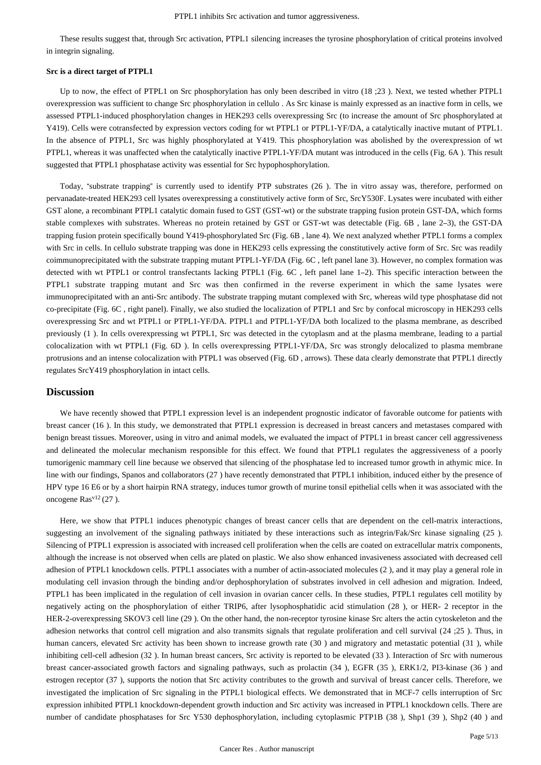These results suggest that, through Src activation, PTPL1 silencing increases the tyrosine phosphorylation of critical proteins involved in integrin signaling.

#### **Src is a direct target of PTPL1**

Up to now, the effect of PTPL1 on Src phosphorylation has only been described in vitro (18 ;23 ). Next, we tested whether PTPL1 overexpression was sufficient to change Src phosphorylation in cellulo . As Src kinase is mainly expressed as an inactive form in cells, we assessed PTPL1-induced phosphorylation changes in HEK293 cells overexpressing Src (to increase the amount of Src phosphorylated at Y419). Cells were cotransfected by expression vectors coding for wt PTPL1 or PTPL1-YF/DA, a catalytically inactive mutant of PTPL1. In the absence of PTPL1, Src was highly phosphorylated at Y419. This phosphorylation was abolished by the overexpression of wt PTPL1, whereas it was unaffected when the catalytically inactive PTPL1-YF/DA mutant was introduced in the cells (Fig. 6A ). This result suggested that PTPL1 phosphatase activity was essential for Src hypophosphorylation.

Today, "substrate trapping" is currently used to identify PTP substrates (26 ). The in vitro assay was, therefore, performed on pervanadate-treated HEK293 cell lysates overexpressing a constitutively active form of Src, SrcY530F. Lysates were incubated with either GST alone, a recombinant PTPL1 catalytic domain fused to GST (GST-wt) or the substrate trapping fusion protein GST-DA, which forms stable complexes with substrates. Whereas no protein retained by GST or GST-wt was detectable (Fig. 6B , lane 2–3), the GST-DA trapping fusion protein specifically bound Y419-phosphorylated Src (Fig. 6B , lane 4). We next analyzed whether PTPL1 forms a complex with Src in cells. In cellulo substrate trapping was done in HEK293 cells expressing the constitutively active form of Src. Src was readily coimmunoprecipitated with the substrate trapping mutant PTPL1-YF/DA (Fig. 6C , left panel lane 3). However, no complex formation was detected with wt PTPL1 or control transfectants lacking PTPL1 (Fig. 6C , left panel lane 1–2). This specific interaction between the PTPL1 substrate trapping mutant and Src was then confirmed in the reverse experiment in which the same lysates were immunoprecipitated with an anti-Src antibody. The substrate trapping mutant complexed with Src, whereas wild type phosphatase did not co-precipitate (Fig. 6C , right panel). Finally, we also studied the localization of PTPL1 and Src by confocal microscopy in HEK293 cells overexpressing Src and wt PTPL1 or PTPL1-YF/DA. PTPL1 and PTPL1-YF/DA both localized to the plasma membrane, as described previously (1 ). In cells overexpressing wt PTPL1, Src was detected in the cytoplasm and at the plasma membrane, leading to a partial colocalization with wt PTPL1 (Fig. 6D ). In cells overexpressing PTPL1-YF/DA, Src was strongly delocalized to plasma membrane protrusions and an intense colocalization with PTPL1 was observed (Fig. 6D , arrows). These data clearly demonstrate that PTPL1 directly regulates SrcY419 phosphorylation in intact cells.

## **Discussion**

We have recently showed that PTPL1 expression level is an independent prognostic indicator of favorable outcome for patients with breast cancer (16 ). In this study, we demonstrated that PTPL1 expression is decreased in breast cancers and metastases compared with benign breast tissues. Moreover, using in vitro and animal models, we evaluated the impact of PTPL1 in breast cancer cell aggressiveness and delineated the molecular mechanism responsible for this effect. We found that PTPL1 regulates the aggressiveness of a poorly tumorigenic mammary cell line because we observed that silencing of the phosphatase led to increased tumor growth in athymic mice. In line with our findings, Spanos and collaborators (27 ) have recently demonstrated that PTPL1 inhibition, induced either by the presence of HPV type 16 E6 or by a short hairpin RNA strategy, induces tumor growth of murine tonsil epithelial cells when it was associated with the oncogene  $\text{Ras}^{\text{v12}}(27)$ .

Here, we show that PTPL1 induces phenotypic changes of breast cancer cells that are dependent on the cell-matrix interactions, suggesting an involvement of the signaling pathways initiated by these interactions such as integrin/Fak/Src kinase signaling (25 ). Silencing of PTPL1 expression is associated with increased cell proliferation when the cells are coated on extracellular matrix components, although the increase is not observed when cells are plated on plastic. We also show enhanced invasiveness associated with decreased cell adhesion of PTPL1 knockdown cells. PTPL1 associates with a number of actin-associated molecules (2 ), and it may play a general role in modulating cell invasion through the binding and/or dephosphorylation of substrates involved in cell adhesion and migration. Indeed, PTPL1 has been implicated in the regulation of cell invasion in ovarian cancer cells. In these studies, PTPL1 regulates cell motility by negatively acting on the phosphorylation of either TRIP6, after lysophosphatidic acid stimulation (28 ), or HER- 2 receptor in the HER-2-overexpressing SKOV3 cell line (29 ). On the other hand, the non-receptor tyrosine kinase Src alters the actin cytoskeleton and the adhesion networks that control cell migration and also transmits signals that regulate proliferation and cell survival (24 ;25 ). Thus, in human cancers, elevated Src activity has been shown to increase growth rate (30) and migratory and metastatic potential (31), while inhibiting cell-cell adhesion (32 ). In human breast cancers, Src activity is reported to be elevated (33 ). Interaction of Src with numerous breast cancer-associated growth factors and signaling pathways, such as prolactin (34 ), EGFR (35 ), ERK1/2, PI3-kinase (36 ) and estrogen receptor (37 ), supports the notion that Src activity contributes to the growth and survival of breast cancer cells. Therefore, we investigated the implication of Src signaling in the PTPL1 biological effects. We demonstrated that in MCF-7 cells interruption of Src expression inhibited PTPL1 knockdown-dependent growth induction and Src activity was increased in PTPL1 knockdown cells. There are number of candidate phosphatases for Src Y530 dephosphorylation, including cytoplasmic PTP1B (38 ), Shp1 (39 ), Shp2 (40 ) and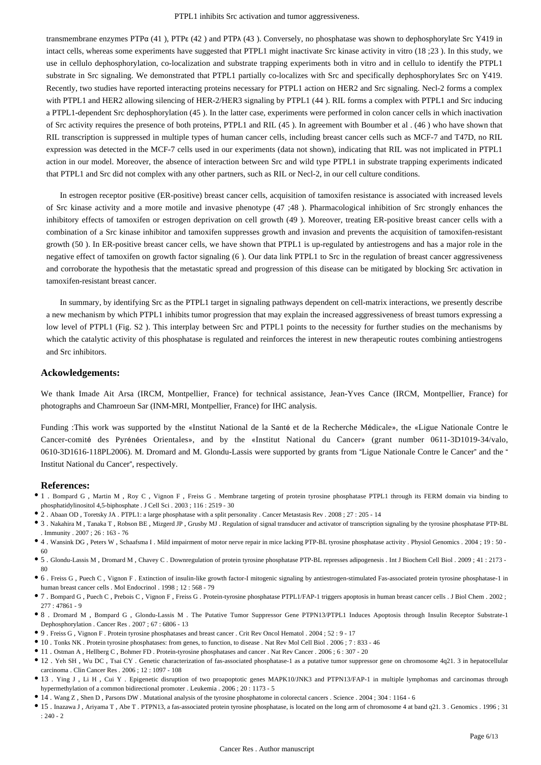transmembrane enzymes PTPα (41 ), PTPε (42 ) and PTPλ (43 ). Conversely, no phosphatase was shown to dephosphorylate Src Y419 in intact cells, whereas some experiments have suggested that PTPL1 might inactivate Src kinase activity in vitro (18 ;23 ). In this study, we use in cellulo dephosphorylation, co-localization and substrate trapping experiments both in vitro and in cellulo to identify the PTPL1 substrate in Src signaling. We demonstrated that PTPL1 partially co-localizes with Src and specifically dephosphorylates Src on Y419. Recently, two studies have reported interacting proteins necessary for PTPL1 action on HER2 and Src signaling. Necl-2 forms a complex with PTPL1 and HER2 allowing silencing of HER-2/HER3 signaling by PTPL1 (44). RIL forms a complex with PTPL1 and Src inducing a PTPL1-dependent Src dephosphorylation (45 ). In the latter case, experiments were performed in colon cancer cells in which inactivation of Src activity requires the presence of both proteins, PTPL1 and RIL (45 ). In agreement with Boumber et al . (46 ) who have shown that RIL transcription is suppressed in multiple types of human cancer cells, including breast cancer cells such as MCF-7 and T47D, no RIL expression was detected in the MCF-7 cells used in our experiments (data not shown), indicating that RIL was not implicated in PTPL1 action in our model. Moreover, the absence of interaction between Src and wild type PTPL1 in substrate trapping experiments indicated that PTPL1 and Src did not complex with any other partners, such as RIL or Necl-2, in our cell culture conditions.

In estrogen receptor positive (ER-positive) breast cancer cells, acquisition of tamoxifen resistance is associated with increased levels of Src kinase activity and a more motile and invasive phenotype (47 ;48 ). Pharmacological inhibition of Src strongly enhances the inhibitory effects of tamoxifen or estrogen deprivation on cell growth (49 ). Moreover, treating ER-positive breast cancer cells with a combination of a Src kinase inhibitor and tamoxifen suppresses growth and invasion and prevents the acquisition of tamoxifen-resistant growth (50 ). In ER-positive breast cancer cells, we have shown that PTPL1 is up-regulated by antiestrogens and has a major role in the negative effect of tamoxifen on growth factor signaling (6 ). Our data link PTPL1 to Src in the regulation of breast cancer aggressiveness and corroborate the hypothesis that the metastatic spread and progression of this disease can be mitigated by blocking Src activation in tamoxifen-resistant breast cancer.

In summary, by identifying Src as the PTPL1 target in signaling pathways dependent on cell-matrix interactions, we presently describe a new mechanism by which PTPL1 inhibits tumor progression that may explain the increased aggressiveness of breast tumors expressing a low level of PTPL1 (Fig. S2). This interplay between Src and PTPL1 points to the necessity for further studies on the mechanisms by which the catalytic activity of this phosphatase is regulated and reinforces the interest in new therapeutic routes combining antiestrogens and Src inhibitors.

## **Ackowledgements:**

We thank Imade Ait Arsa (IRCM, Montpellier, France) for technical assistance, Jean-Yves Cance (IRCM, Montpellier, France) for photographs and Chamroeun Sar (INM-MRI, Montpellier, France) for IHC analysis.

Funding :This work was supported by the «Institut National de la Santé et de la Recherche Médicale», the «Ligue Nationale Contre le Cancer-comité des Pyrénées Orientales», and by the «Institut National du Cancer» (grant number 0611-3D1019-34/valo, 0610-3D1616-118PL2006). M. Dromard and M. Glondu-Lassis were supported by grants from "Ligue Nationale Contre le Cancer" and the " Institut National du Cancer", respectively.

#### **References:**

- 1 . Bompard G , Martin M , Roy C , Vignon F , Freiss G . Membrane targeting of protein tyrosine phosphatase PTPL1 through its FERM domain via binding to phosphatidylinositol 4,5-biphosphate . J Cell Sci . 2003 ; 116 : 2519 - 30
- 2 . Abaan OD , Toretsky JA . PTPL1: a large phosphatase with a split personality . Cancer Metastasis Rev . 2008 ; 27 : 205 14
- 3 . Nakahira M , Tanaka T , Robson BE , Mizgerd JP , Grusby MJ . Regulation of signal transducer and activator of transcription signaling by the tyrosine phosphatase PTP-BL . Immunity . 2007 ; 26 : 163 - 76
- 4 . Wansink DG , Peters W , Schaafsma I . Mild impairment of motor nerve repair in mice lacking PTP-BL tyrosine phosphatase activity . Physiol Genomics . 2004 ; 19 : 50 60
- 5 . Glondu-Lassis M , Dromard M , Chavey C . Downregulation of protein tyrosine phosphatase PTP-BL represses adipogenesis . Int J Biochem Cell Biol . 2009 ; 41 : 2173 80
- 6 . Freiss G , Puech C , Vignon F . Extinction of insulin-like growth factor-I mitogenic signaling by antiestrogen-stimulated Fas-associated protein tyrosine phosphatase-1 in human breast cancer cells . Mol Endocrinol . 1998 ; 12 : 568 - 79
- 7 . Bompard G , Puech C , Prebois C , Vignon F , Freiss G . Protein-tyrosine phosphatase PTPL1/FAP-1 triggers apoptosis in human breast cancer cells . J Biol Chem . 2002 ; 277 : 47861 - 9
- 8 . Dromard M , Bompard G , Glondu-Lassis M . The Putative Tumor Suppressor Gene PTPN13/PTPL1 Induces Apoptosis through Insulin Receptor Substrate-1 Dephosphorylation . Cancer Res . 2007 ; 67 : 6806 - 13
- 9 . Freiss G , Vignon F . Protein tyrosine phosphatases and breast cancer . Crit Rev Oncol Hematol . 2004 ; 52 : 9 17
- 10 . Tonks NK . Protein tyrosine phosphatases: from genes, to function, to disease . Nat Rev Mol Cell Biol . 2006 ; 7 : 833 46
- 11 . Ostman A , Hellberg C , Bohmer FD . Protein-tyrosine phosphatases and cancer . Nat Rev Cancer . 2006 ; 6 : 307 20
- 12 . Yeh SH , Wu DC , Tsai CY . Genetic characterization of fas-associated phosphatase-1 as a putative tumor suppressor gene on chromosome 4q21. 3 in hepatocellular carcinoma . Clin Cancer Res . 2006 ; 12 : 1097 - 108
- <sup>•</sup> 13 . Ying J , Li H , Cui Y . Epigenetic disruption of two proapoptotic genes MAPK10/JNK3 and PTPN13/FAP-1 in multiple lymphomas and carcinomas through hypermethylation of a common bidirectional promoter . Leukemia . 2006 ; 20 : 1173 - 5
- 14 . Wang Z , Shen D , Parsons DW . Mutational analysis of the tyrosine phosphatome in colorectal cancers . Science . 2004 ; 304 : 1164 6
- 15 . Inazawa J , Ariyama T , Abe T . PTPN13, a fas-associated protein tyrosine phosphatase, is located on the long arm of chromosome 4 at band q21. 3 . Genomics . 1996 ; 31 : 240 - 2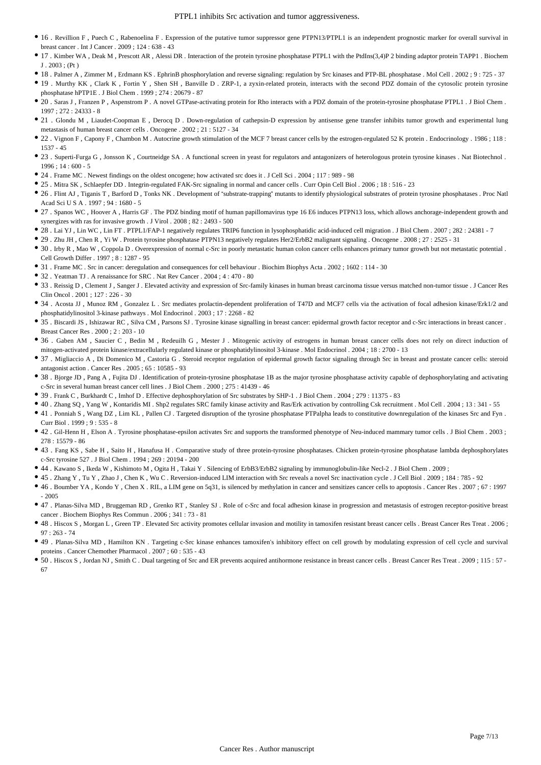- 16 . Revillion F , Puech C , Rabenoelina F . Expression of the putative tumor suppressor gene PTPN13/PTPL1 is an independent prognostic marker for overall survival in breast cancer . Int J Cancer . 2009 ; 124 : 638 - 43
- 17 . Kimber WA , Deak M , Prescott AR , Alessi DR . Interaction of the protein tyrosine phosphatase PTPL1 with the PtdIns(3,4)P 2 binding adaptor protein TAPP1 . Biochem J . 2003 ; (Pt )
- 18 . Palmer A , Zimmer M , Erdmann KS . EphrinB phosphorylation and reverse signaling: regulation by Src kinases and PTP-BL phosphatase . Mol Cell . 2002 ; 9 : 725 37
- 19 . Murthy KK , Clark K , Fortin Y , Shen SH , Banville D . ZRP-1, a zyxin-related protein, interacts with the second PDZ domain of the cytosolic protein tyrosine phosphatase hPTP1E . J Biol Chem . 1999 ; 274 : 20679 - 87
- 20 . Saras J , Franzen P , Aspenstrom P . A novel GTPase-activating protein for Rho interacts with a PDZ domain of the protein-tyrosine phosphatase PTPL1 . J Biol Chem . 1997 ; 272 : 24333 - 8
- 21 . Glondu M , Liaudet-Coopman E , Derocq D . Down-regulation of cathepsin-D expression by antisense gene transfer inhibits tumor growth and experimental lung metastasis of human breast cancer cells . Oncogene . 2002 ; 21 : 5127 - 34
- 22 . Vignon F , Capony F , Chambon M . Autocrine growth stimulation of the MCF 7 breast cancer cells by the estrogen-regulated 52 K protein . Endocrinology . 1986 ; 118 : 1537 - 45
- 23 . Superti-Furga G , Jonsson K , Courtneidge SA . A functional screen in yeast for regulators and antagonizers of heterologous protein tyrosine kinases . Nat Biotechnol .  $1996 \cdot 14 \cdot 600 - 5$
- 24 . Frame MC . Newest findings on the oldest oncogene; how activated src does it . J Cell Sci . 2004 ; 117 : 989 98
- 25 . Mitra SK , Schlaepfer DD . Integrin-regulated FAK-Src signaling in normal and cancer cells . Curr Opin Cell Biol . 2006 ; 18 : 516 23
- 26 . Flint AJ , Tiganis T , Barford D , Tonks NK . Development of "substrate-trapping" mutants to identify physiological substrates of protein tyrosine phosphatases . Proc Natl Acad Sci U S A . 1997 ; 94 : 1680 - 5
- 27 . Spanos WC , Hoover A , Harris GF . The PDZ binding motif of human papillomavirus type 16 E6 induces PTPN13 loss, which allows anchorage-independent growth and synergizes with ras for invasive growth . J Virol . 2008 ; 82 : 2493 - 500
- 28 . Lai YJ , Lin WC , Lin FT . PTPL1/FAP-1 negatively regulates TRIP6 function in lysophosphatidic acid-induced cell migration . J Biol Chem . 2007 ; 282 : 24381 7
- 29 . Zhu JH , Chen R , Yi W . Protein tyrosine phosphatase PTPN13 negatively regulates Her2/ErbB2 malignant signaling . Oncogene . 2008 ; 27 : 2525 31
- 30 . Irby R , Mao W , Coppola D . Overexpression of normal c-Src in poorly metastatic human colon cancer cells enhances primary tumor growth but not metastatic potential . Cell Growth Differ . 1997 ; 8 : 1287 - 95
- 31 . Frame MC . Src in cancer: deregulation and consequences for cell behaviour . Biochim Biophys Acta . 2002 ; 1602 : 114 30
- 32 . Yeatman TJ . A renaissance for SRC . Nat Rev Cancer . 2004 ; 4 : 470 80
- 33 . Reissig D , Clement J , Sanger J . Elevated activity and expression of Src-family kinases in human breast carcinoma tissue versus matched non-tumor tissue . J Cancer Res Clin Oncol . 2001 ; 127 : 226 - 30
- 34 . Acosta JJ , Munoz RM , Gonzalez L . Src mediates prolactin-dependent proliferation of T47D and MCF7 cells via the activation of focal adhesion kinase/Erk1/2 and phosphatidylinositol 3-kinase pathways . Mol Endocrinol . 2003 ; 17 : 2268 - 82
- 35 . Biscardi JS , Ishizawar RC , Silva CM , Parsons SJ . Tyrosine kinase signalling in breast cancer: epidermal growth factor receptor and c-Src interactions in breast cancer . Breast Cancer Res . 2000 ; 2 : 203 - 10
- 36 . Gaben AM , Saucier C , Bedin M , Redeuilh G , Mester J . Mitogenic activity of estrogens in human breast cancer cells does not rely on direct induction of mitogen-activated protein kinase/extracellularly regulated kinase or phosphatidylinositol 3-kinase . Mol Endocrinol . 2004 ; 18 : 2700 - 13
- 37 . Migliaccio A , Di Domenico M , Castoria G . Steroid receptor regulation of epidermal growth factor signaling through Src in breast and prostate cancer cells: steroid antagonist action . Cancer Res . 2005 ; 65 : 10585 - 93
- 38 . Bjorge JD , Pang A , Fujita DJ . Identification of protein-tyrosine phosphatase 1B as the major tyrosine phosphatase activity capable of dephosphorylating and activating c-Src in several human breast cancer cell lines . J Biol Chem . 2000 ; 275 : 41439 - 46
- 39 . Frank C , Burkhardt C , Imhof D . Effective dephosphorylation of Src substrates by SHP-1 . J Biol Chem . 2004 ; 279 : 11375 83
- 40 . Zhang SQ , Yang W , Kontaridis MI . Shp2 regulates SRC family kinase activity and Ras/Erk activation by controlling Csk recruitment . Mol Cell . 2004 ; 13 : 341 55
- 41 . Ponniah S , Wang DZ , Lim KL , Pallen CJ . Targeted disruption of the tyrosine phosphatase PTPalpha leads to constitutive downregulation of the kinases Src and Fyn . Curr Biol . 1999 ; 9 : 535 - 8
- 42 . Gil-Henn H , Elson A . Tyrosine phosphatase-epsilon activates Src and supports the transformed phenotype of Neu-induced mammary tumor cells . J Biol Chem . 2003 ; 278 : 15579 - 86
- 43 . Fang KS , Sabe H , Saito H , Hanafusa H . Comparative study of three protein-tyrosine phosphatases. Chicken protein-tyrosine phosphatase lambda dephosphorylates c-Src tyrosine 527 . J Biol Chem . 1994 ; 269 : 20194 - 200
- 44 . Kawano S , Ikeda W , Kishimoto M , Ogita H , Takai Y . Silencing of ErbB3/ErbB2 signaling by immunoglobulin-like Necl-2 . J Biol Chem . 2009 ;
- 45 . Zhang Y , Tu Y , Zhao J , Chen K , Wu C . Reversion-induced LIM interaction with Src reveals a novel Src inactivation cycle . J Cell Biol . 2009 ; 184 : 785 92
- 46 . Boumber YA , Kondo Y , Chen X . RIL, a LIM gene on 5q31, is silenced by methylation in cancer and sensitizes cancer cells to apoptosis . Cancer Res . 2007 ; 67 : 1997 - 2005
- 47 . Planas-Silva MD , Bruggeman RD , Grenko RT , Stanley SJ . Role of c-Src and focal adhesion kinase in progression and metastasis of estrogen receptor-positive breast cancer . Biochem Biophys Res Commun . 2006 ; 341 : 73 - 81
- 48 . Hiscox S , Morgan L , Green TP . Elevated Src activity promotes cellular invasion and motility in tamoxifen resistant breast cancer cells . Breast Cancer Res Treat . 2006 ; 97 : 263 - 74
- 49 . Planas-Silva MD , Hamilton KN . Targeting c-Src kinase enhances tamoxifen's inhibitory effect on cell growth by modulating expression of cell cycle and survival proteins . Cancer Chemother Pharmacol . 2007 ; 60 : 535 - 43
- 50 . Hiscox S , Jordan NJ , Smith C . Dual targeting of Src and ER prevents acquired antihormone resistance in breast cancer cells . Breast Cancer Res Treat . 2009 ; 115 : 57 67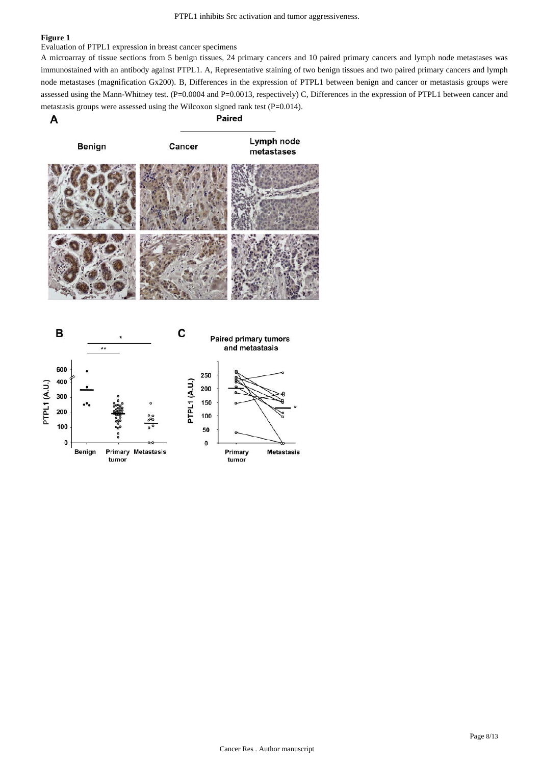Evaluation of PTPL1 expression in breast cancer specimens

A microarray of tissue sections from 5 benign tissues, 24 primary cancers and 10 paired primary cancers and lymph node metastases was immunostained with an antibody against PTPL1. A, Representative staining of two benign tissues and two paired primary cancers and lymph node metastases (magnification Gx200). B, Differences in the expression of PTPL1 between benign and cancer or metastasis groups were assessed using the Mann-Whitney test. (P=0.0004 and P=0.0013, respectively) C, Differences in the expression of PTPL1 between cancer and metastasis groups were assessed using the Wilcoxon signed rank test (P=0.014).

Paired A



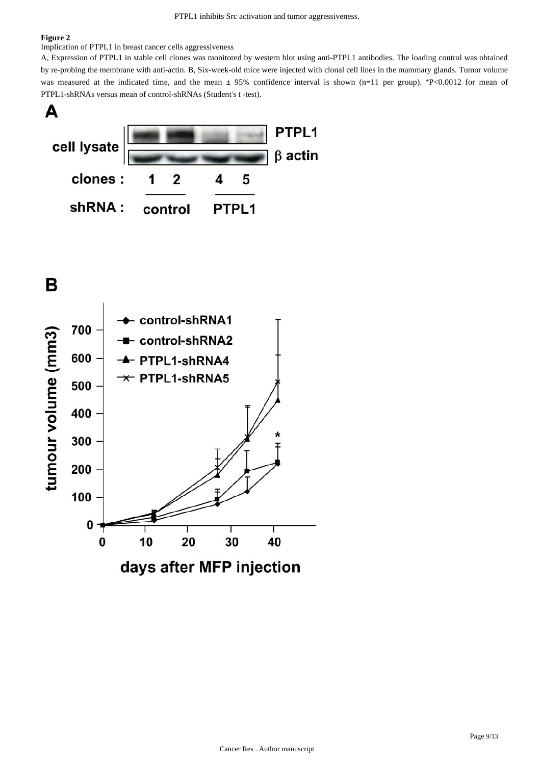#### Implication of PTPL1 in breast cancer cells aggressiveness

A, Expression of PTPL1 in stable cell clones was monitored by western blot using anti-PTPL1 antibodies. The loading control was obtained by re-probing the membrane with anti-actin. B, Six-week-old mice were injected with clonal cell lines in the mammary glands. Tumor volume was measured at the indicated time, and the mean  $\pm$  95% confidence interval is shown (n=11 per group). \*P<0.0012 for mean of PTPL1-shRNAs versus mean of control-shRNAs (Student's t -test).



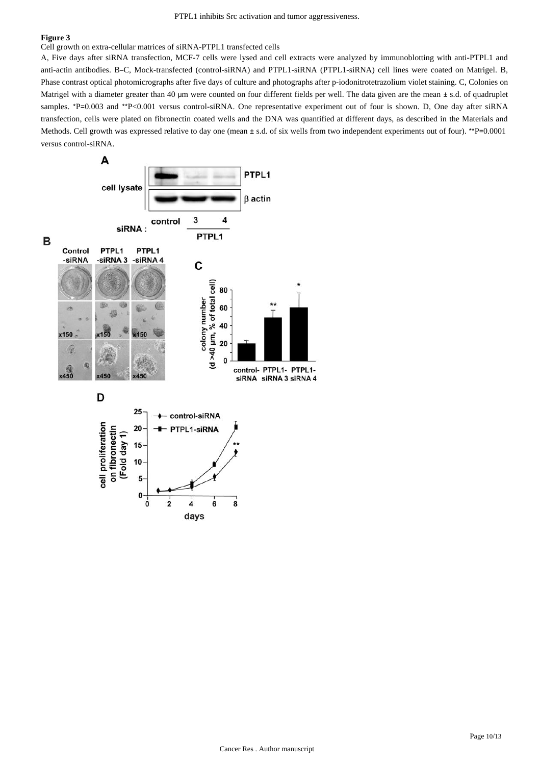Cell growth on extra-cellular matrices of siRNA-PTPL1 transfected cells

A, Five days after siRNA transfection, MCF-7 cells were lysed and cell extracts were analyzed by immunoblotting with anti-PTPL1 and anti-actin antibodies. B–C, Mock-transfected (control-siRNA) and PTPL1-siRNA (PTPL1-siRNA) cell lines were coated on Matrigel. B, Phase contrast optical photomicrographs after five days of culture and photographs after p-iodonitrotetrazolium violet staining. C, Colonies on Matrigel with a diameter greater than 40 μm were counted on four different fields per well. The data given are the mean ± s.d. of quadruplet samples. \*P=0.003 and \*\*P<0.001 versus control-siRNA. One representative experiment out of four is shown. D, One day after siRNA transfection, cells were plated on fibronectin coated wells and the DNA was quantified at different days, as described in the Materials and Methods. Cell growth was expressed relative to day one (mean  $\pm$  s.d. of six wells from two independent experiments out of four). \*\*P=0.0001 versus control-siRNA.

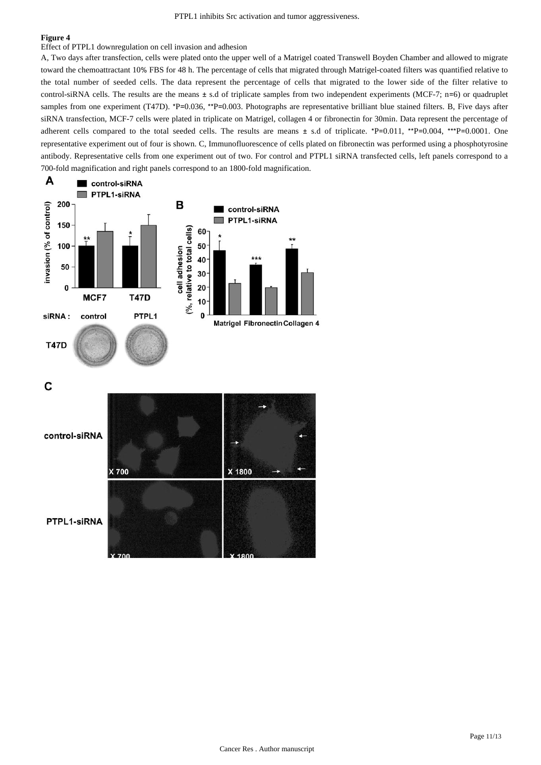Effect of PTPL1 downregulation on cell invasion and adhesion

A, Two days after transfection, cells were plated onto the upper well of a Matrigel coated Transwell Boyden Chamber and allowed to migrate toward the chemoattractant 10% FBS for 48 h. The percentage of cells that migrated through Matrigel-coated filters was quantified relative to the total number of seeded cells. The data represent the percentage of cells that migrated to the lower side of the filter relative to control-siRNA cells. The results are the means ± s.d of triplicate samples from two independent experiments (MCF-7; n=6) or quadruplet samples from one experiment (T47D). \*P=0.036, \*\*P=0.003. Photographs are representative brilliant blue stained filters. B, Five days after siRNA transfection, MCF-7 cells were plated in triplicate on Matrigel, collagen 4 or fibronectin for 30min. Data represent the percentage of adherent cells compared to the total seeded cells. The results are means  $\pm$  s.d of triplicate. \*P=0.011, \*\*P=0.004, \*\*\*P=0.0001. One representative experiment out of four is shown. C, Immunofluorescence of cells plated on fibronectin was performed using a phosphotyrosine antibody. Representative cells from one experiment out of two. For control and PTPL1 siRNA transfected cells, left panels correspond to a 700-fold magnification and right panels correspond to an 1800-fold magnification.



C

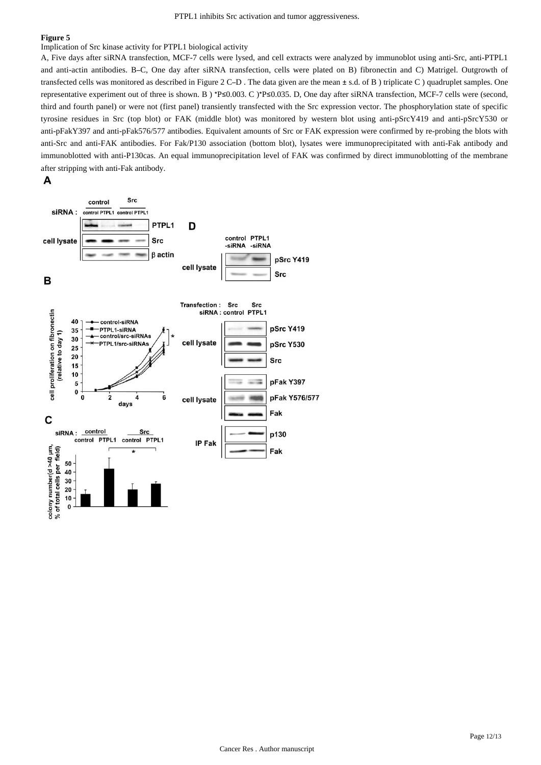Implication of Src kinase activity for PTPL1 biological activity

A, Five days after siRNA transfection, MCF-7 cells were lysed, and cell extracts were analyzed by immunoblot using anti-Src, anti-PTPL1 and anti-actin antibodies. B–C, One day after siRNA transfection, cells were plated on B) fibronectin and C) Matrigel. Outgrowth of transfected cells was monitored as described in Figure 2 C–D . The data given are the mean ± s.d. of B ) triplicate C ) quadruplet samples. One representative experiment out of three is shown. B ) \*P≤0.003. C )\*P≤0.035. D, One day after siRNA transfection, MCF-7 cells were (second, third and fourth panel) or were not (first panel) transiently transfected with the Src expression vector. The phosphorylation state of specific tyrosine residues in Src (top blot) or FAK (middle blot) was monitored by western blot using anti-pSrcY419 and anti-pSrcY530 or anti-pFakY397 and anti-pFak576/577 antibodies. Equivalent amounts of Src or FAK expression were confirmed by re-probing the blots with anti-Src and anti-FAK antibodies. For Fak/P130 association (bottom blot), lysates were immunoprecipitated with anti-Fak antibody and immunoblotted with anti-P130cas. An equal immunoprecipitation level of FAK was confirmed by direct immunoblotting of the membrane after stripping with anti-Fak antibody.

## A